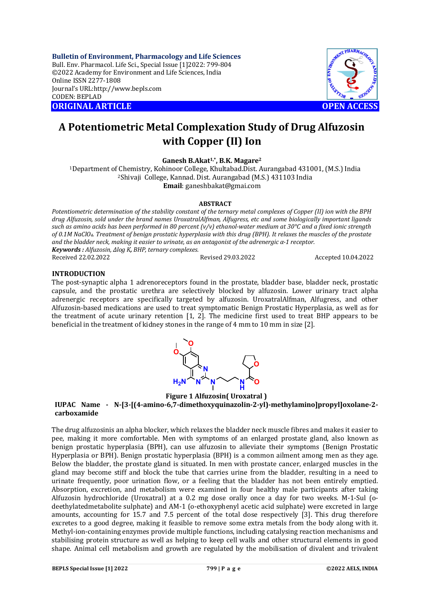**Bulletin of Environment, Pharmacology and Life Sciences** Bull. Env. Pharmacol. Life Sci., Special Issue [1]2022: 799-804 ©2022 Academy for Environment and Life Sciences, India Online ISSN 2277-1808 Journal's URL:<http://www.bepls.com> CODEN: BEPLAD **ORIGINAL ARTICLE OPEN ACCESS** 



# **A Potentiometric Metal Complexation Study of Drug Alfuzosin with Copper (II) Ion**

**Ganesh B.Akat1,\*, B.K. Magare<sup>2</sup>**

<sup>1</sup>Department of Chemistry, Kohinoor College, Khultabad.Dist. Aurangabad 431001, (M.S.) India <sup>2</sup>Shivaji College, Kannad. Dist. Aurangabad (M.S.) 431103 India **Email**: [ganeshbakat@gmai.com](mailto:ganeshbakat@gmai.com)

## **ABSTRACT**

*Potentiometric determination of the stability constant of the ternary metal complexes of Copper (II) ion with the BPH drug Alfuzosin, sold under the brand names UroxatralAlfman, Alfugress, etc and some biologically important ligands such as amino acids has been performed in 80 percent (v/v) ethanol-water medium at 30°C and a fixed ionic strength of 0.1M NaClO4. Treatment of benign prostatic hyperplasia with this drug (BPH). It relaxes the muscles of the prostate and the bladder neck, making it easier to urinate, as an antagonist of the adrenergic α-1 receptor. Keywords : Alfuzosin, Δlog K, BHP, ternary complexes.* Received 22.02.2022 Revised 29.03.2022 Accepted 10.04.2022

#### **INTRODUCTION**

The post-synaptic alpha 1 adrenoreceptors found in the prostate, bladder base, bladder neck, prostatic capsule, and the prostatic urethra are selectively blocked by alfuzosin. Lower urinary tract alpha adrenergic receptors are specifically targeted by alfuzosin. UroxatralAlfman, Alfugress, and other Alfuzosin-based medications are used to treat symptomatic Benign Prostatic Hyperplasia, as well as for the treatment of acute urinary retention [1, 2]. The medicine first used to treat BHP appears to be beneficial in the treatment of kidney stones in the range of 4 mm to 10 mm in size [2].



**Figure 1 Alfuzosin( Uroxatral )**

**IUPAC Name - N-[3-[(4-amino-6,7-dimethoxyquinazolin-2-yl)-methylamino]propyl]oxolane-2 carboxamide**

The drug alfuzosinis an alpha blocker, which relaxes the bladder neck muscle fibres and makes it easier to pee, making it more comfortable. Men with symptoms of an enlarged prostate gland, also known as benign prostatic hyperplasia (BPH), can use alfuzosin to alleviate their symptoms (Benign Prostatic Hyperplasia or BPH). Benign prostatic hyperplasia (BPH) is a common ailment among men as they age. Below the bladder, the prostate gland is situated. In men with prostate cancer, enlarged muscles in the gland may become stiff and block the tube that carries urine from the bladder, resulting in a need to urinate frequently, poor urination flow, or a feeling that the bladder has not been entirely emptied. Absorption, excretion, and metabolism were examined in four healthy male participants after taking Alfuzosin hydrochloride (Uroxatral) at a 0.2 mg dose orally once a day for two weeks. M-1-Sul (odeethylatedmetabolite sulphate) and AM-1 (o-ethoxyphenyl acetic acid sulphate) were excreted in large amounts, accounting for 15.7 and 7.5 percent of the total dose respectively [3]. This drug therefore excretes to a good degree, making it feasible to remove some extra metals from the body along with it. Methyl-ion-containing enzymes provide multiple functions, including catalysing reaction mechanisms and stabilising protein structure as well as helping to keep cell walls and other structural elements in good shape. Animal cell metabolism and growth are regulated by the mobilisation of divalent and trivalent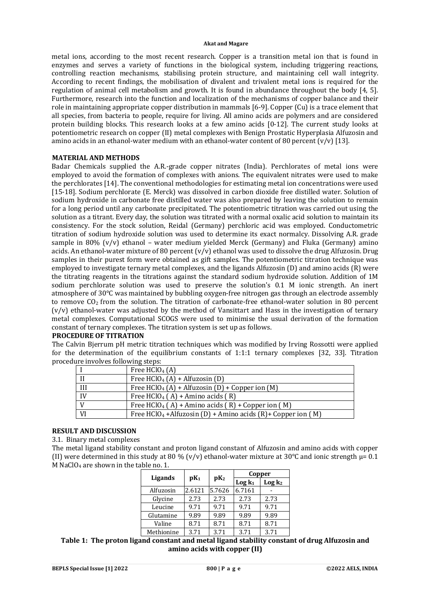metal ions, according to the most recent research. Copper is a transition metal ion that is found in enzymes and serves a variety of functions in the biological system, including triggering reactions, controlling reaction mechanisms, stabilising protein structure, and maintaining cell wall integrity. According to recent findings, the mobilisation of divalent and trivalent metal ions is required for the regulation of animal cell metabolism and growth. It is found in abundance throughout the body [4, 5]. Furthermore, research into the function and localization of the mechanisms of copper balance and their role in maintaining appropriate copper distribution in mammals [6-9]. Copper (Cu) is a trace element that all species, from bacteria to people, require for living. All amino acids are polymers and are considered protein building blocks. This research looks at a few amino acids [0-12]. The current study looks at potentiometric research on copper (II) metal complexes with Benign Prostatic Hyperplasia Alfuzosin and amino acids in an ethanol-water medium with an ethanol-water content of 80 percent  $(v/v)$  [13].

## **MATERIAL AND METHODS**

Badar Chemicals supplied the A.R.-grade copper nitrates (India). Perchlorates of metal ions were employed to avoid the formation of complexes with anions. The equivalent nitrates were used to make the perchlorates [14]. The conventional methodologies for estimating metal ion concentrations were used [15-18]. Sodium perchlorate (E. Merck) was dissolved in carbon dioxide free distilled water. Solution of sodium hydroxide in carbonate free distilled water was also prepared by leaving the solution to remain for a long period until any carbonate precipitated. The potentiometric titration was carried out using the solution as a titrant. Every day, the solution was titrated with a normal oxalic acid solution to maintain its consistency. For the stock solution, Reidal (Germany) perchloric acid was employed. Conductometric titration of sodium hydroxide solution was used to determine its exact normalcy. Dissolving A.R. grade sample in 80%  $(v/v)$  ethanol – water medium yielded Merck (Germany) and Fluka (Germany) amino acids. An ethanol-water mixture of 80 percent (v/v) ethanol was used to dissolve the drug Alfuzosin. Drug samples in their purest form were obtained as gift samples. The potentiometric titration technique was employed to investigate ternary metal complexes, and the ligands Alfuzosin (D) and amino acids (R) were the titrating reagents in the titrations against the standard sodium hydroxide solution. Addition of 1M sodium perchlorate solution was used to preserve the solution's 0.1 M ionic strength. An inert atmosphere of 30°C was maintained by bubbling oxygen-free nitrogen gas through an electrode assembly to remove  $CO<sub>2</sub>$  from the solution. The titration of carbonate-free ethanol-water solution in 80 percent (v/v) ethanol-water was adjusted by the method of Vansittart and Hass in the investigation of ternary metal complexes. Computational SCOGS were used to minimise the usual derivation of the formation constant of ternary complexes. The titration system is set up as follows.

## **PROCEDURE OF TITRATION**

The Calvin Bjerrum pH metric titration techniques which was modified by Irving Rossotti were applied for the determination of the equilibrium constants of 1:1:1 ternary complexes [32, 33]. Titration procedure involves following steps:

|    | Free $HClO4(A)$                                                              |
|----|------------------------------------------------------------------------------|
|    | Free HClO <sub>4</sub> (A) + Alfuzosin (D)                                   |
| Ш  | Free HClO <sub>4</sub> (A) + Alfuzosin (D) + Copper ion (M)                  |
| IV | Free HClO <sub>4</sub> (A) + Amino acids (R)                                 |
|    | Free HClO <sub>4</sub> (A) + Amino acids (R) + Copper ion (M)                |
| VI | Free HClO <sub>4</sub> +Alfuzosin (D) + Amino acids $(R)$ + Copper ion $(M)$ |

# **RESULT AND DISCUSSION**

3.1. Binary metal complexes

The metal ligand stability constant and proton ligand constant of Alfuzosin and amino acids with copper (II) were determined in this study at 80 % (v/v) ethanol-water mixture at 30 °C and ionic strength  $\mu$ = 0.1 M NaClO<sup>4</sup> are shown in the table no. 1.

| Ligands    | $pK_1$ |        | Copper    |                    |  |
|------------|--------|--------|-----------|--------------------|--|
|            |        | $pK_2$ | $Log k_1$ | Log k <sub>2</sub> |  |
| Alfuzosin  | 2.6121 | 5.7626 | 6.7161    |                    |  |
| Glycine    | 2.73   | 2.73   | 2.73      | 2.73               |  |
| Leucine    | 9.71   | 9.71   | 9.71      | 9.71               |  |
| Glutamine  | 9.89   | 9.89   | 9.89      | 9.89               |  |
| Valine     | 8.71   | 8.71   | 8.71      | 8.71               |  |
| Methionine | 3.71   | 3.71   | 3.71      | 3.71               |  |

# **Table 1: The proton ligand constant and metal ligand stability constant of drug Alfuzosin and amino acids with copper (II)**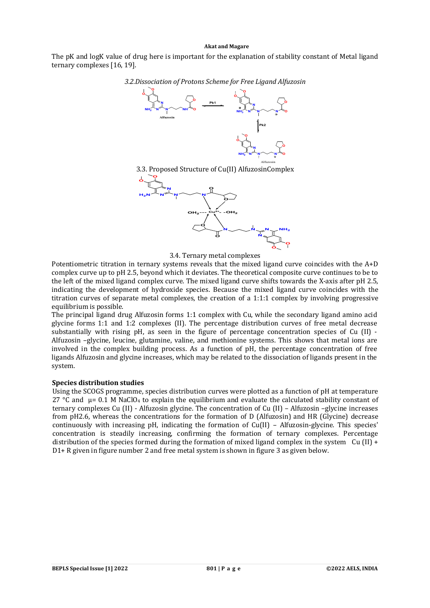The pK and logK value of drug here is important for the explanation of stability constant of Metal ligand ternary complexes [16, 19].

*3.2.Dissociation of Protons Scheme for Free Ligand Alfuzosin*







3.4. Ternary metal complexes

Potentiometric titration in ternary systems reveals that the mixed ligand curve coincides with the A+D complex curve up to pH 2.5, beyond which it deviates. The theoretical composite curve continues to be to the left of the mixed ligand complex curve. The mixed ligand curve shifts towards the X-axis after pH 2.5, indicating the development of hydroxide species. Because the mixed ligand curve coincides with the titration curves of separate metal complexes, the creation of a 1:1:1 complex by involving progressive equilibrium is possible.

The principal ligand drug Alfuzosin forms 1:1 complex with Cu, while the secondary ligand amino acid glycine forms 1:1 and 1:2 complexes (II). The percentage distribution curves of free metal decrease substantially with rising pH, as seen in the figure of percentage concentration species of Cu (II) - Alfuzosin –glycine, leucine, glutamine, valine, and methionine systems. This shows that metal ions are involved in the complex building process. As a function of pH, the percentage concentration of free ligands Alfuzosin and glycine increases, which may be related to the dissociation of ligands present in the system.

### **Species distribution studies**

Using the SCOGS programme, species distribution curves were plotted as a function of pH at temperature 27 °C and  $\mu$  = 0.1 M NaClO<sub>4</sub> to explain the equilibrium and evaluate the calculated stability constant of ternary complexes Cu (II) - Alfuzosin glycine. The concentration of Cu (II) – Alfuzosin –glycine increases from pH2.6, whereas the concentrations for the formation of D (Alfuzosin) and HR (Glycine) decrease continuously with increasing pH, indicating the formation of Cu(II) – Alfuzosin-glycine. This species' concentration is steadily increasing, confirming the formation of ternary complexes. Percentage distribution of the species formed during the formation of mixed ligand complex in the system Cu (II) + D1+ R given in figure number 2 and free metal system is shown in figure 3 as given below.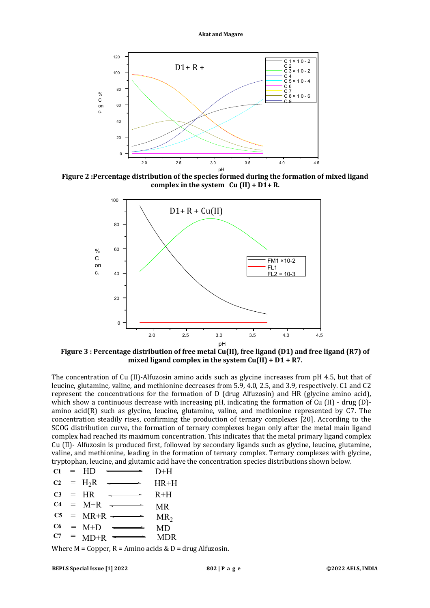

**Figure 2 :Percentage distribution of the species formed during the formation of mixed ligand complex in the system Cu (II) + D1+ R.**



**Figure 3 : Percentage distribution of free metal Cu(II), free ligand (D1) and free ligand (R7) of mixed ligand complex in the system Cu(II) + D1 + R7.**

The concentration of Cu (II)-Alfuzosin amino acids such as glycine increases from pH 4.5, but that of leucine, glutamine, valine, and methionine decreases from 5.9, 4.0, 2.5, and 3.9, respectively. C1 and C2 represent the concentrations for the formation of D (drug Alfuzosin) and HR (glycine amino acid), which show a continuous decrease with increasing pH, indicating the formation of Cu (II) - drug (D) amino acid(R) such as glycine, leucine, glutamine, valine, and methionine represented by C7. The concentration steadily rises, confirming the production of ternary complexes [20]. According to the SCOG distribution curve, the formation of ternary complexes began only after the metal main ligand complex had reached its maximum concentration. This indicates that the metal primary ligand complex Cu (II)- Alfuzosin is produced first, followed by secondary ligands such as glycine, leucine, glutamine, valine, and methionine, leading in the formation of ternary complex. Ternary complexes with glycine, tryptophan, leucine, and glutamic acid have the concentration species distributions shown below.

- **C1**  $=$  HD  $\longrightarrow$  D+H HD
- $C2 = H_2R$ HR+H  $=$
- **C3** HR  $R+H$ =
- **C4**  $M+R$ MR =
- **C5** MR+R  $MR<sub>2</sub>$ =
- **C6**  $M+D$ MD =
- **C7**  $MD+R \xrightarrow{\longleftarrow} MDR$ =

Where  $M = Copper$ ,  $R = Amino$  acids &  $D = drug$  Alfuzosin.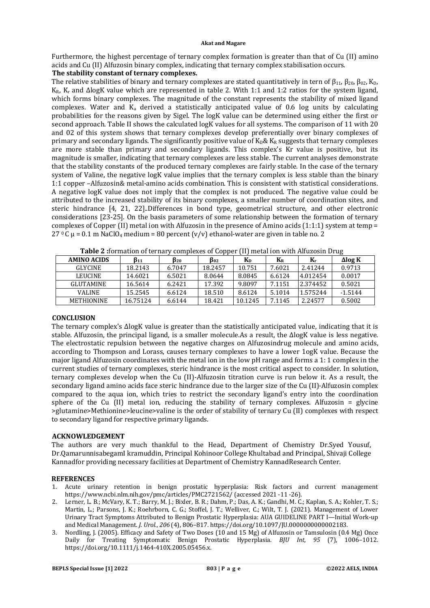Furthermore, the highest percentage of ternary complex formation is greater than that of Cu (II) amino acids and Cu (II) Alfuzosin binary complex, indicating that ternary complex stabilisation occurs.

### **The stability constant of ternary complexes.**

The relative stabilities of binary and ternary complexes are stated quantitatively in tern of  $\beta_{11}$ ,  $\beta_{20}$ ,  $\beta_{02}$ ,  $K_D$ , K<sub>R</sub>, K<sub>r</sub> and ΔlogK value which are represented in table 2. With 1:1 and 1:2 ratios for the system ligand, which forms binary complexes. The magnitude of the constant represents the stability of mixed ligand complexes. Water and  $K_a$  derived a statistically anticipated value of 0.6 log units by calculating probabilities for the reasons given by Sigel. The logK value can be determined using either the first or second approach. Table II shows the calculated logK values for all systems. The comparison of 11 with 20 and 02 of this system shows that ternary complexes develop preferentially over binary complexes of primary and secondary ligands. The significantly positive value of  $K_D \& K_R$  suggests that ternary complexes are more stable than primary and secondary ligands. This complex's Kr value is positive, but its magnitude is smaller, indicating that ternary complexes are less stable. The current analyses demonstrate that the stability constants of the produced ternary complexes are fairly stable. In the case of the ternary system of Valine, the negative logK value implies that the ternary complex is less stable than the binary 1:1 copper –Alfuzosin& metal-amino acids combination. This is consistent with statistical considerations. A negative logK value does not imply that the complex is not produced. The negative value could be attributed to the increased stability of its binary complexes, a smaller number of coordination sites, and steric hindrance [4, 21, 22]..Differences in bond type, geometrical structure, and other electronic considerations [23-25]. On the basis parameters of some relationship between the formation of ternary complexes of Copper (II) metal ion with Alfuzosin in the presence of Amino acids (1:1:1) system at temp  $=$  $27^\circ$ C µ = 0.1 m NaClO<sub>4</sub> medium = 80 percent (v/v) ethanol-water are given in table no. 2

| $\mathbf{1}$ able a normality of cornar<br>$\frac{1}{2}$<br>$\frac{1}{2}$ |          |        |         |                |         |          |                |  |  |
|---------------------------------------------------------------------------|----------|--------|---------|----------------|---------|----------|----------------|--|--|
| <b>AMINO ACIDS</b>                                                        | B11      | В20    | B02     | K <sub>D</sub> | $K_{R}$ | Kr       | $\Delta$ log K |  |  |
| <b>GLYCINE</b>                                                            | 18.2143  | 6.7047 | 18.2457 | 10.751         | 7.6021  | 2.41244  | 0.9713         |  |  |
| <b>LEUCINE</b>                                                            | 14.6021  | 6.5021 | 8.0644  | 8.0845         | 6.6124  | 4.012454 | 0.0017         |  |  |
| <b>GLUTAMINE</b>                                                          | 16.5614  | 6.2421 | 17.392  | 9.8097         | 7.1151  | 2.374452 | 0.5021         |  |  |
| <b>VALINE</b>                                                             | 15.2545  | 6.6124 | 18.510  | 8.6124         | 5.1014  | 1.575244 | $-1.5144$      |  |  |
| <b>METHIONINE</b>                                                         | 16.75124 | 6.6144 | 18.421  | 10.1245        | 7.1145  | 2.24577  | 0.5002         |  |  |

**Table 2 :**formation of ternary complexes of Copper (II) metal ion with Alfuzosin Drug

## **CONCLUSION**

The ternary complex's ΔlogK value is greater than the statistically anticipated value, indicating that it is stable. Alfuzosin, the principal ligand, is a smaller molecule.As a result, the ΔlogK value is less negative. The electrostatic repulsion between the negative charges on Alfuzosindrug molecule and amino acids, according to Thompson and Lorass, causes ternary complexes to have a lower 1ogK value. Because the major ligand Alfuzosin coordinates with the metal ion in the low pH range and forms a 1: 1 complex in the current studies of ternary complexes, steric hindrance is the most critical aspect to consider. In solution, ternary complexes develop when the Cu (II)-Alfuzosin titration curve is run below it. As a result, the secondary ligand amino acids face steric hindrance due to the larger size of the Cu (II)-Alfuzosin complex compared to the aqua ion, which tries to restrict the secondary ligand's entry into the coordination sphere of the Cu (II) metal ion, reducing the stability of ternary complexes. Alfuzosin = glycine >glutamine>Methionine>leucine>valine is the order of stability of ternary Cu (II) complexes with respect to secondary ligand for respective primary ligands.

## **ACKNOWLEDGEMENT**

The authors are very much thankful to the Head, Department of Chemistry Dr.Syed Yousuf, Dr.QamarunnisabegamI kramuddin, Principal Kohinoor College Khultabad and Principal, Shivaji College Kannadfor providing necessary facilities at Department of Chemistry KannadResearch Center.

#### **REFERENCES**

- 1. Acute urinary retention in benign prostatic hyperplasia: Risk factors and current management <https://www.ncbi.nlm.nih.gov/pmc/articles/PMC2721562/> (accessed 2021 -11 -26).
- 2. Lerner, L. B.; McVary, K. T.; Barry, M. J.; Bixler, B. R.; Dahm, P.; Das, A. K.; Gandhi, M. C.; Kaplan, S. A.; Kohler, T. S.; Martin, L.; Parsons, J. K.; Roehrborn, C. G.; Stoffel, J. T.; Welliver, C.; Wilt, T. J. (2021). Management of Lower Urinary Tract Symptoms Attributed to Benign Prostatic Hyperplasia: AUA GUIDELINE PART I—Initial Work-up and Medical Management. *J. Urol.*, *206* (4), 806–817. <https://doi.org/10.1097/JU.0000000000002183.>
- 3. Nordling, J. (2005). Efficacy and Safety of Two Doses (10 and 15 Mg) of Alfuzosin or Tamsulosin (0.4 Mg) Once Daily for Treating Symptomatic Benign Prostatic Hyperplasia. *BJU Int*, *95* (7), 1006–1012. <https://doi.org/10.1111/j.1464-410X.2005.05456.x.>